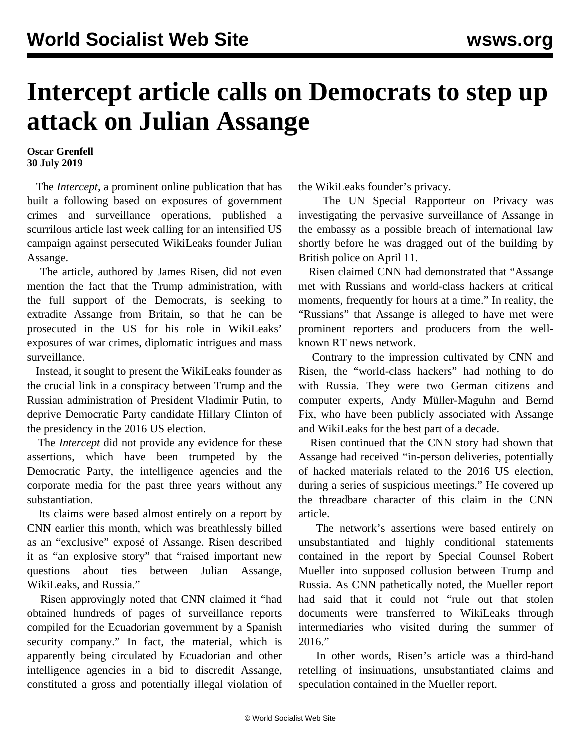## **Intercept article calls on Democrats to step up attack on Julian Assange**

**Oscar Grenfell 30 July 2019**

 The *Intercept*, a prominent online publication that has built a following based on exposures of government crimes and surveillance operations, published a scurrilous article last week calling for an intensified US campaign against persecuted WikiLeaks founder Julian Assange.

 The article, authored by James Risen, did not even mention the fact that the Trump administration, with the full support of the Democrats, is seeking to extradite Assange from Britain, so that he can be prosecuted in the US for his role in WikiLeaks' exposures of war crimes, diplomatic intrigues and mass surveillance.

 Instead, it sought to present the WikiLeaks founder as the crucial link in a conspiracy between Trump and the Russian administration of President Vladimir Putin, to deprive Democratic Party candidate Hillary Clinton of the presidency in the 2016 US election.

 The *Intercept* did not provide any evidence for these assertions, which have been trumpeted by the Democratic Party, the intelligence agencies and the corporate media for the past three years without any substantiation.

 Its claims were based almost entirely on a report by CNN earlier this month, which was breathlessly billed as an "exclusive" exposé of Assange. Risen described it as "an explosive story" that "raised important new questions about ties between Julian Assange, WikiLeaks, and Russia."

 Risen approvingly noted that CNN claimed it "had obtained hundreds of pages of surveillance reports compiled for the Ecuadorian government by a Spanish security company." In fact, the material, which is apparently being circulated by Ecuadorian and other intelligence agencies in a bid to discredit Assange, constituted a gross and potentially illegal violation of the WikiLeaks founder's privacy.

 The UN Special Rapporteur on Privacy was investigating the pervasive surveillance of Assange in the embassy as a possible breach of international law shortly before he was dragged out of the building by British police on April 11.

 Risen claimed CNN had demonstrated that "Assange met with Russians and world-class hackers at critical moments, frequently for hours at a time." In reality, the "Russians" that Assange is alleged to have met were prominent reporters and producers from the wellknown RT news network.

 Contrary to the impression cultivated by CNN and Risen, the "world-class hackers" had nothing to do with Russia. They were two German citizens and computer experts, Andy Müller-Maguhn and Bernd Fix, who have been publicly associated with Assange and WikiLeaks for the best part of a decade.

 Risen continued that the CNN story had shown that Assange had received "in-person deliveries, potentially of hacked materials related to the 2016 US election, during a series of suspicious meetings." He covered up the threadbare character of this claim in the CNN article.

 The network's assertions were based entirely on unsubstantiated and highly conditional statements contained in the report by Special Counsel Robert Mueller into supposed collusion between Trump and Russia. As CNN pathetically noted, the Mueller report had said that it could not "rule out that stolen documents were transferred to WikiLeaks through intermediaries who visited during the summer of 2016."

 In other words, Risen's article was a third-hand retelling of insinuations, unsubstantiated claims and speculation contained in the Mueller report.